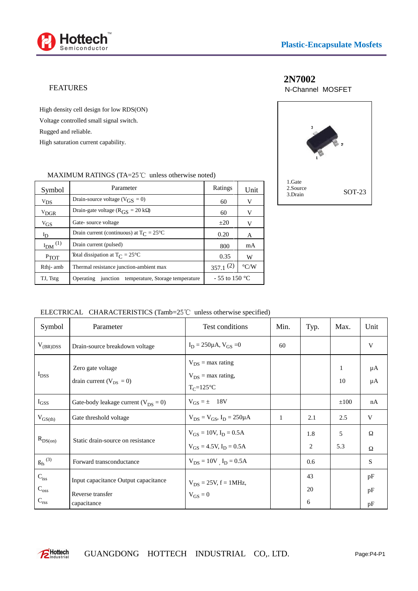

#### FEATURES

High density cell design for low RDS(ON) Voltage controlled small signal switch. Rugged and reliable. High saturation current capability.

## **2N7002**

N-Channel MOSFET



#### MAXIMUM RATINGS (TA= $25^{\circ}$ C unless otherwise noted)

| Symbol                  | Parameter                                                         | Ratings         | Unit               | 1. Oalo<br>2.Source<br>3.Drain | $SOT-23$ |
|-------------------------|-------------------------------------------------------------------|-----------------|--------------------|--------------------------------|----------|
| $V_{DS}$                | Drain-source voltage ( $V_{GS} = 0$ )                             | 60              | V                  |                                |          |
| $V_{DGR}$               | Drain-gate voltage ( $R_{\text{GS}} = 20 \text{ k}$ )             | 60              | V                  |                                |          |
| $V_{GS}$                | Gate-source voltage                                               | $\pm 20$        | V                  |                                |          |
| $I_D$                   | Drain current (continuous) at $T_{\text{C}} = 25^{\circ}\text{C}$ | 0.20            | A                  |                                |          |
| $I_{DM}$ <sup>(1)</sup> | Drain current (pulsed)                                            | 800             | mA                 |                                |          |
| PTOT                    | Total dissipation at $T_{\text{C}} = 25^{\circ}\text{C}$          | 0.35            | W                  |                                |          |
| Rthj-amb                | Thermal resistance junction-ambient max                           | $357.1^{(2)}$   | $\rm ^{\circ}$ C/W |                                |          |
| TJ, Tstg                | Operating junction temperature, Storage temperature               | $-55$ to 150 °C |                    |                                |          |

ELECTRICAL CHARACTERISTICS (Tamb=25 $^{\circ}$ C unless otherwise specified)

| Symbol                     | Parameter                                                | Test conditions                                                   | Min.         | Typ.     | Max.      | Unit     |
|----------------------------|----------------------------------------------------------|-------------------------------------------------------------------|--------------|----------|-----------|----------|
| $V_{(BR)DSS}$              | Drain-source breakdown voltage                           | $I_D = 250 \mu A$ , $V_{GS} = 0$                                  | 60           |          |           | V        |
| $I_{DSS}$                  | Zero gate voltage<br>drain current ( $V_{DS} = 0$ )      | $V_{DS}$ = max rating<br>$V_{DS}$ = max rating,<br>$T_C = 125$ °C |              |          | 1<br>10   | μA<br>μA |
| $I_{GSS}$                  | Gate-body leakage current ( $V_{DS} = 0$ )               | $V_{GS} = \pm 18V$                                                |              |          | $\pm 100$ | nA       |
| $V_{GS(th)}$               | Gate threshold voltage                                   | $V_{DS} = V_{GS}$ , $I_D = 250 \mu A$                             | $\mathbf{1}$ | 2.1      | 2.5       | V        |
| $R_{DS(on)}$               | Static drain-source on resistance                        | $V_{GS} = 10V$ , $I_D = 0.5A$<br>$V_{GS} = 4.5 V, I_D = 0.5 A$    |              | 1.8<br>2 | 5<br>5.3  |          |
| $g_{fs}$ (3)               | Forward transconductance                                 | $V_{DS} = 10V$ , $I_D = 0.5A$                                     |              | 0.6      |           | S        |
| $C_{iss}$<br>$C_{\rm oss}$ | Input capacitance Output capacitance<br>Reverse transfer | $V_{DS} = 25V$ , $f = 1MHz$ ,<br>$V_{GS} = 0$                     |              | 43<br>20 |           | pF<br>pF |
| $C_{rss}$                  | capacitance                                              |                                                                   |              | 6        |           | pF       |

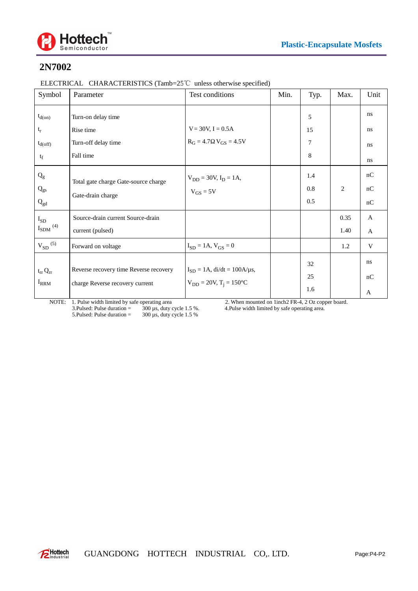

# **2N7002**

| ELECTRICAL CHARACTERISTICS (Tamb=25 $\degree$ C unless otherwise specified) |  |  |  |  |
|-----------------------------------------------------------------------------|--|--|--|--|
|-----------------------------------------------------------------------------|--|--|--|--|

| Symbol                      | Parameter                                                                                  | Test conditions                                                           | Min. | Typ. | Max.           | Unit |
|-----------------------------|--------------------------------------------------------------------------------------------|---------------------------------------------------------------------------|------|------|----------------|------|
| $t_{d(0n)}$                 | Turn-on delay time                                                                         |                                                                           |      | 5    |                | ns   |
| $t_{\rm r}$                 | Rise time                                                                                  | $V = 30V, I = 0.5A$                                                       |      | 15   |                | ns   |
| $t_{d(off)}$                | Turn-off delay time                                                                        | $R_G = 4.7$ $V_{GS} = 4.5V$                                               |      | 7    |                | ns   |
| $t_f$                       | Fall time                                                                                  |                                                                           |      | 8    |                | ns   |
| $\mathbf{Q}_{\text{g}}$     | Total gate charge Gate-source charge                                                       | $V_{DD} = 30V, I_D = 1A,$                                                 |      | 1.4  |                | nC   |
| $\mathbf{Q}_{\text{gs}}$    | Gate-drain charge                                                                          | $V_{GS} = 5V$                                                             |      | 0.8  | $\overline{2}$ | nC   |
| $Q_{gd}$                    |                                                                                            |                                                                           |      | 0.5  |                | nC   |
| $I_{SD}$                    | Source-drain current Source-drain                                                          |                                                                           |      |      | 0.35           | A    |
| $I_{\mathrm{SDM}}$ $^{(4)}$ | current (pulsed)                                                                           |                                                                           |      |      | 1.40           | A    |
| $V_{SD}$ (5)                | Forward on voltage                                                                         | $I_{SD} = 1A$ , $V_{GS} = 0$                                              |      |      | 1.2            | V    |
| $t_{rr} Q_{rr}$             | Reverse recovery time Reverse recovery<br>$I_{\rm RRM}$<br>charge Reverse recovery current | $I_{SD} = 1A$ , di/dt = 100A/µs,<br>$V_{DD} = 20V$ , $T_i = 150^{\circ}C$ |      | 32   |                | ns   |
|                             |                                                                                            |                                                                           |      | 25   |                | nC   |
|                             |                                                                                            |                                                                           |      | 1.6  |                | A    |

NOTE: 1. Pulse width limited by safe operating area 2. When mounted on 1inch2 FR-4, 2 Oz copper board. 3.Pulsed: Pulse duration = 300 µs, duty cycle 1.5 %. 4.Pulse width limited by safe operating area. 5. Pulsed: Pulse duration =  $300 \mu s$ , duty cycle 1.5 %

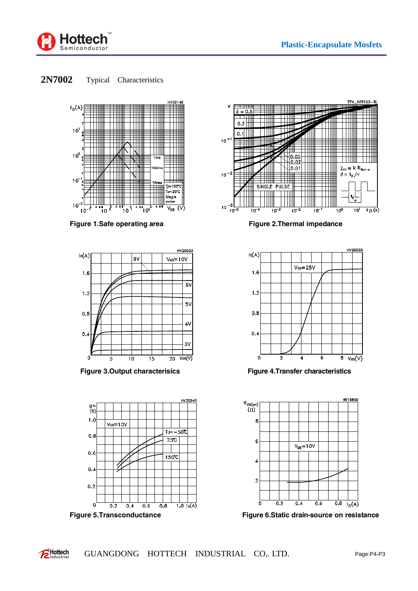

**2N7002** Typical Characteristics



Figure 1.Safe operating area **Figure 2.Thermal impedance** 









**Figure 3.Output characterisics Figure 4.Transfer characteristics**



**Figure 5.Transconductance Figure 6.Static drain-source on resistance**